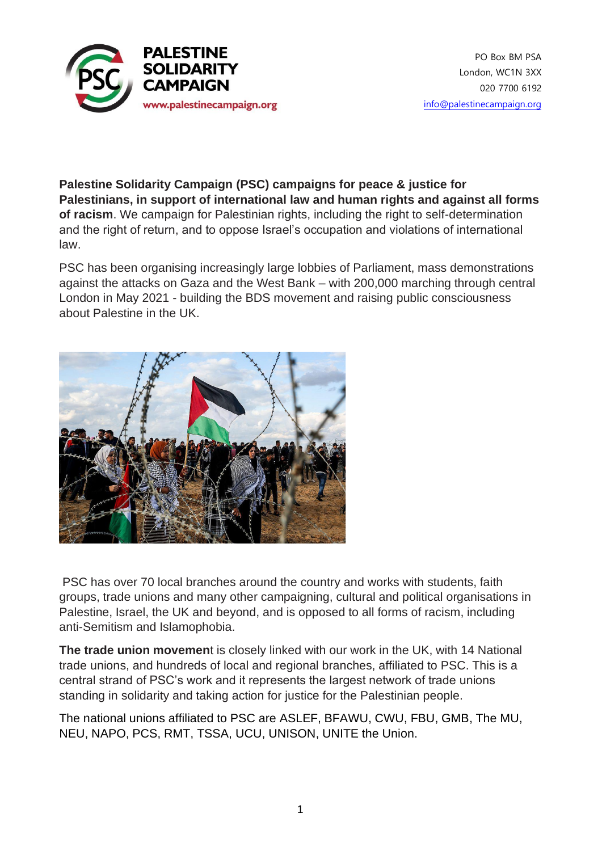

**Palestine Solidarity Campaign (PSC) campaigns for peace & justice for Palestinians, in support of international law and human rights and against all forms of racism**. We campaign for Palestinian rights, including the right to self-determination and the right of return, and to oppose Israel's occupation and violations of international law.

PSC has been organising increasingly large lobbies of Parliament, mass demonstrations against the attacks on Gaza and the West Bank – with 200,000 marching through central London in May 2021 - building the BDS movement and raising public consciousness about Palestine in the UK.



PSC has over 70 local branches around the country and works with students, faith groups, trade unions and many other campaigning, cultural and political organisations in Palestine, Israel, the UK and beyond, and is opposed to all forms of racism, including anti-Semitism and Islamophobia.

**The trade union movemen**t is closely linked with our work in the UK, with 14 National trade unions, and hundreds of local and regional branches, affiliated to PSC. This is a central strand of PSC's work and it represents the largest network of trade unions standing in solidarity and taking action for justice for the Palestinian people.

The national unions affiliated to PSC are ASLEF, BFAWU, CWU, FBU, GMB, The MU, NEU, NAPO, PCS, RMT, TSSA, UCU, UNISON, UNITE the Union.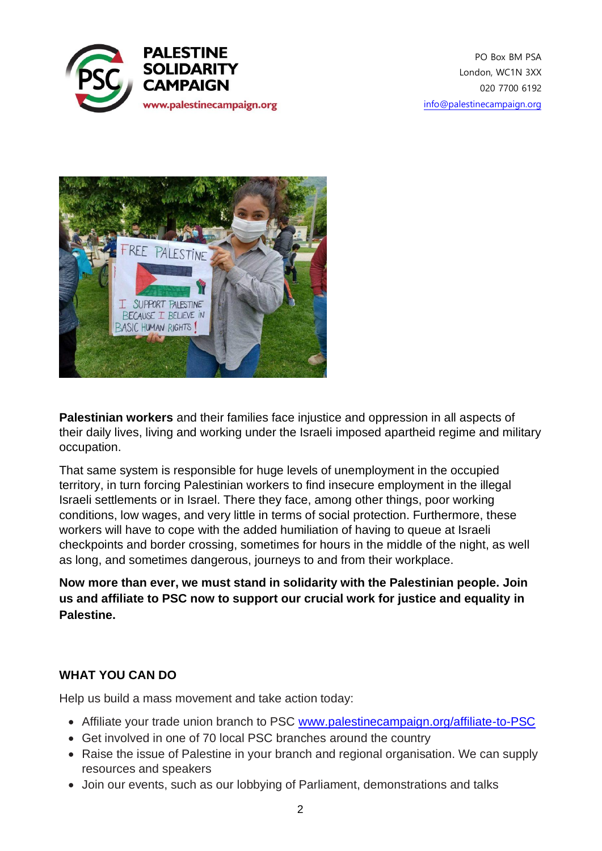



**Palestinian workers** and their families face injustice and oppression in all aspects of their daily lives, living and working under the Israeli imposed apartheid regime and military occupation.

That same system is responsible for huge levels of unemployment in the occupied territory, in turn forcing Palestinian workers to find insecure employment in the illegal Israeli settlements or in Israel. There they face, among other things, poor working conditions, low wages, and very little in terms of social protection. Furthermore, these workers will have to cope with the added humiliation of having to queue at Israeli checkpoints and border crossing, sometimes for hours in the middle of the night, as well as long, and sometimes dangerous, journeys to and from their workplace.

**Now more than ever, we must stand in solidarity with the Palestinian people. Join us and affiliate to PSC now to support our crucial work for justice and equality in Palestine.**

## **WHAT YOU CAN DO**

Help us build a mass movement and take action today:

- Affiliate your trade union branch to PSC www.palestinecampaign.org/affiliate-to-PSC
- Get involved in one of 70 local PSC branches around the country
- Raise the issue of Palestine in your branch and regional organisation. We can supply resources and speakers
- Join our events, such as our lobbying of Parliament, demonstrations and talks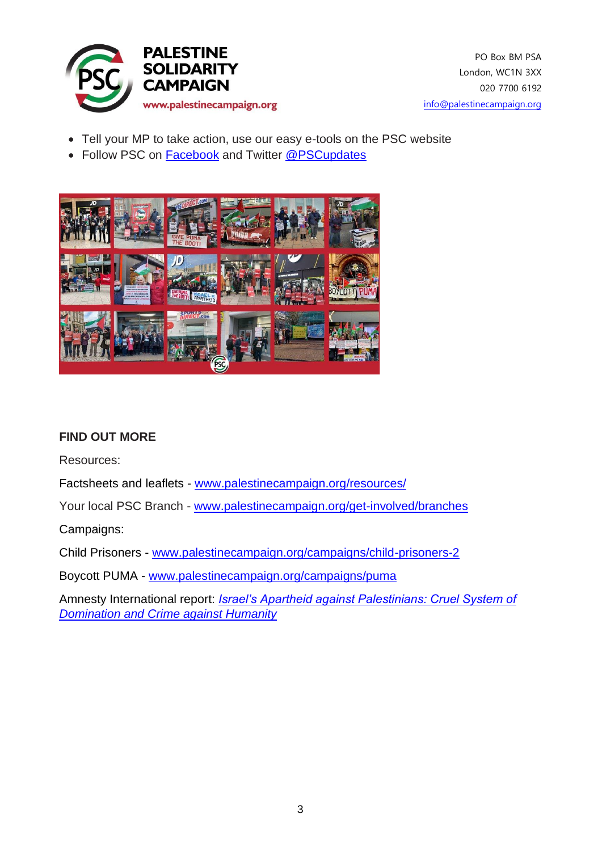

- Tell your MP to take action, use our easy e-tools on the PSC website
- Follow PSC on Facebook and Twitter @PSCupdates



## **FIND OUT MORE**

Resources:

Factsheets and leaflets - www.palestinecampaign.org/resources/

Your local PSC Branch - www.palestinecampaign.org/get-involved/branches

Campaigns:

Child Prisoners - www.palestinecampaign.org/campaigns/child-prisoners-2

Boycott PUMA - www.palestinecampaign.org/campaigns/puma

Amnesty International report: *Israel's Apartheid against Palestinians: Cruel System of Domination and Crime against Humanity*